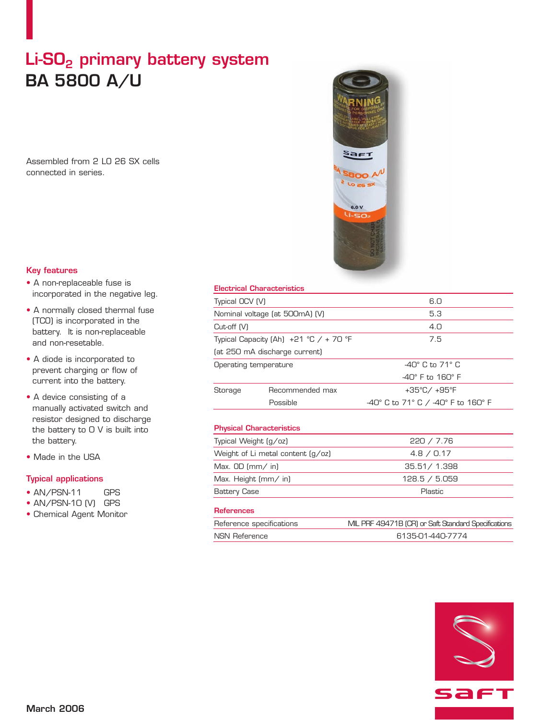# Li-SO<sub>2</sub> primary battery system **BA 5800 A/U**

Assembled from 2 LO 26 SX cells connected in series.



## **Key features**

- A non-replaceable fuse is incorporated in the negative leg.
- A normally closed thermal fuse (TCO) is incorporated in the battery. It is non-replaceable and non-resetable.
- A diode is incorporated to prevent charging or flow of current into the battery.
- A device consisting of a manually activated switch and resistor designed to discharge the battery to 0 V is built into the battery.
- Made in the USA

# **Typical applications**

- AN/PSN-11 GPS
- AN/PSN-10 (V) GPS
- Chemical Agent Monitor

### **Electrical Characteristics**

| Typical OCV (V)                          |                                 | 6.0                                |
|------------------------------------------|---------------------------------|------------------------------------|
| Nominal voltage (at 500mA) (V)           |                                 | 5.3                                |
| Cut-off (V)                              |                                 | 4.0                                |
| Typical Capacity (Ah) $+21$ °C / + 70 °F |                                 | 7.5                                |
|                                          | (at 250 mA discharge current)   |                                    |
| Operating temperature                    |                                 | $-40^\circ$ C to 71 $^\circ$ C     |
|                                          |                                 | $-40^\circ$ F to $160^\circ$ F     |
| Storage                                  | Recommended max                 | +35°C/ +95°F                       |
|                                          | Possible                        | -40° C to 71° C / -40° F to 160° F |
|                                          |                                 |                                    |
|                                          | <b>Physical Characteristics</b> |                                    |
| Typical Weight (g/oz)                    |                                 | 220 / 7.76                         |
| Weight of Li metal content $(q/cz)$      |                                 | 4.8 / 0.17                         |
| Max. $OD \, \text{(mm/ in)}$             |                                 | 35.51 / 1.398                      |
| Max. Height $\text{mm}/\text{in}$        |                                 | 128.5 / 5.059                      |

### **References**

| Reference specifications | MIL PRF 49471B (CR) or Saft Standard Specifications |
|--------------------------|-----------------------------------------------------|
| NSN Reference            | 6135-01-440-7774                                    |

Battery Case **Plastic**